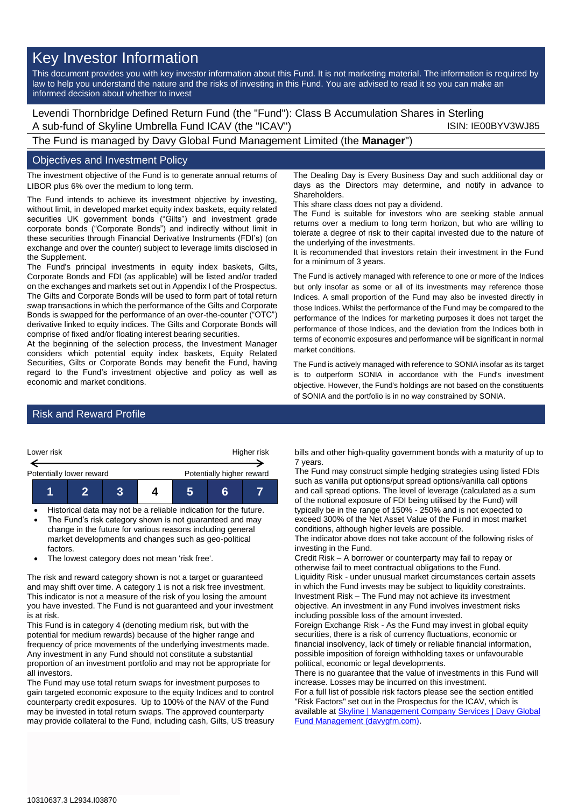# Key Investor Information

This document provides you with key investor information about this Fund. It is not marketing material. The information is required by law to help you understand the nature and the risks of investing in this Fund. You are advised to read it so you can make an informed decision about whether to invest

Levendi Thornbridge Defined Return Fund (the "Fund"): Class B Accumulation Shares in Sterling A sub-fund of Skyline Umbrella Fund ICAV (the "ICAV") ISIN: IE00BYV3WJ85

The Fund is managed by Davy Global Fund Management Limited (the **Manager**")

## Objectives and Investment Policy

The investment objective of the Fund is to generate annual returns of LIBOR plus 6% over the medium to long term.

The Fund intends to achieve its investment objective by investing, without limit, in developed market equity index baskets, equity related securities UK government bonds ("Gilts") and investment grade corporate bonds ("Corporate Bonds") and indirectly without limit in these securities through Financial Derivative Instruments (FDI's) (on exchange and over the counter) subject to leverage limits disclosed in the Supplement.

The Fund's principal investments in equity index baskets, Gilts, Corporate Bonds and FDI (as applicable) will be listed and/or traded on the exchanges and markets set out in Appendix I of the Prospectus. The Gilts and Corporate Bonds will be used to form part of total return swap transactions in which the performance of the Gilts and Corporate Bonds is swapped for the performance of an over-the-counter ("OTC") derivative linked to equity indices. The Gilts and Corporate Bonds will comprise of fixed and/or floating interest bearing securities.

At the beginning of the selection process, the Investment Manager considers which potential equity index baskets, Equity Related Securities, Gilts or Corporate Bonds may benefit the Fund, having regard to the Fund's investment objective and policy as well as economic and market conditions.

The Dealing Day is Every Business Day and such additional day or days as the Directors may determine, and notify in advance to **Shareholders** 

This share class does not pay a dividend.

The Fund is suitable for investors who are seeking stable annual returns over a medium to long term horizon, but who are willing to tolerate a degree of risk to their capital invested due to the nature of the underlying of the investments.

It is recommended that investors retain their investment in the Fund for a minimum of 3 years.

The Fund is actively managed with reference to one or more of the Indices but only insofar as some or all of its investments may reference those Indices. A small proportion of the Fund may also be invested directly in those Indices. Whilst the performance of the Fund may be compared to the performance of the Indices for marketing purposes it does not target the performance of those Indices, and the deviation from the Indices both in terms of economic exposures and performance will be significant in normal market conditions.

The Fund is actively managed with reference to SONIA insofar as its target is to outperform SONIA in accordance with the Fund's investment objective. However, the Fund's holdings are not based on the constituents of SONIA and the portfolio is in no way constrained by SONIA.

# Risk and Reward Profile



- Historical data may not be a reliable indication for the future. The Fund's risk category shown is not guaranteed and may
- change in the future for various reasons including general market developments and changes such as geo-political factors.
- The lowest category does not mean 'risk free'.

The risk and reward category shown is not a target or guaranteed and may shift over time. A category 1 is not a risk free investment. This indicator is not a measure of the risk of you losing the amount you have invested. The Fund is not guaranteed and your investment is at risk.

This Fund is in category 4 (denoting medium risk, but with the potential for medium rewards) because of the higher range and frequency of price movements of the underlying investments made. Any investment in any Fund should not constitute a substantial proportion of an investment portfolio and may not be appropriate for all investors.

The Fund may use total return swaps for investment purposes to gain targeted economic exposure to the equity Indices and to control counterparty credit exposures. Up to 100% of the NAV of the Fund may be invested in total return swaps. The approved counterparty may provide collateral to the Fund, including cash, Gilts, US treasury bills and other high-quality government bonds with a maturity of up to 7 years.

The Fund may construct simple hedging strategies using listed FDIs such as vanilla put options/put spread options/vanilla call options and call spread options. The level of leverage (calculated as a sum of the notional exposure of FDI being utilised by the Fund) will typically be in the range of 150% - 250% and is not expected to exceed 300% of the Net Asset Value of the Fund in most market conditions, although higher levels are possible.

The indicator above does not take account of the following risks of investing in the Fund.

Credit Risk – A borrower or counterparty may fail to repay or otherwise fail to meet contractual obligations to the Fund. Liquidity Risk - under unusual market circumstances certain assets in which the Fund invests may be subject to liquidity constraints. Investment Risk – The Fund may not achieve its investment objective. An investment in any Fund involves investment risks including possible loss of the amount invested.

Foreign Exchange Risk - As the Fund may invest in global equity securities, there is a risk of currency fluctuations, economic or financial insolvency, lack of timely or reliable financial information, possible imposition of foreign withholding taxes or unfavourable political, economic or legal developments.

There is no guarantee that the value of investments in this Fund will increase. Losses may be incurred on this investment.

For a full list of possible risk factors please see the section entitled "Risk Factors" set out in the Prospectus for the ICAV, which is available at Skyline | Management Company Services | Davy Global [Fund Management \(davygfm.com\).](https://www.davygfm.com/funds-factsheets/management-company-services/ireland/skyline.html)